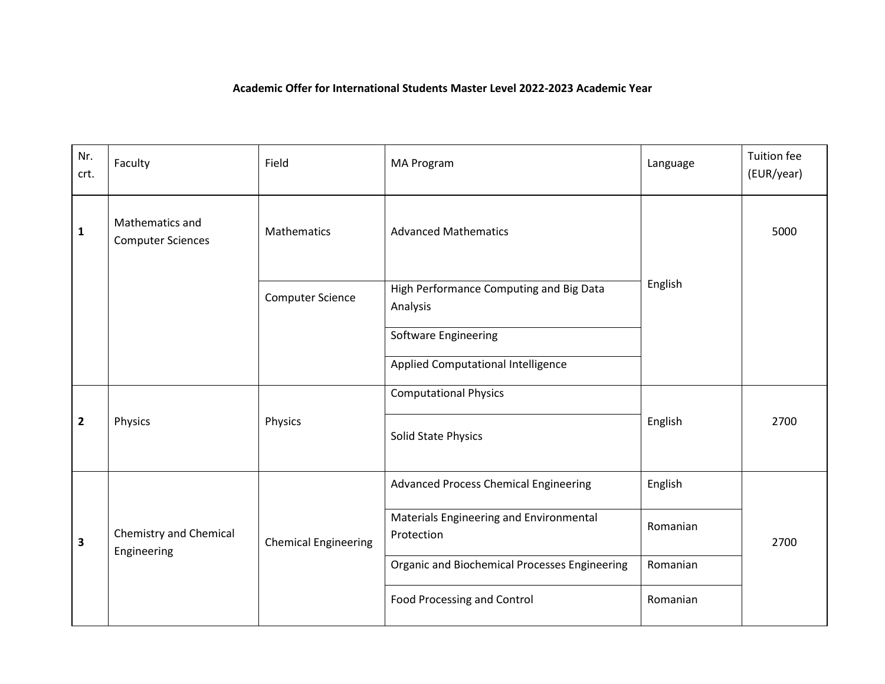## **Academic Offer for International Students Master Level 2022-2023 Academic Year**

| Nr.<br>crt.             | Faculty                                     | Field                       | MA Program                                            | Language | <b>Tuition fee</b><br>(EUR/year) |
|-------------------------|---------------------------------------------|-----------------------------|-------------------------------------------------------|----------|----------------------------------|
| 1                       | Mathematics and<br><b>Computer Sciences</b> | Mathematics                 | <b>Advanced Mathematics</b>                           |          | 5000                             |
|                         |                                             | <b>Computer Science</b>     | High Performance Computing and Big Data<br>Analysis   | English  |                                  |
|                         |                                             |                             | Software Engineering                                  |          |                                  |
|                         |                                             |                             | Applied Computational Intelligence                    |          |                                  |
|                         |                                             |                             | <b>Computational Physics</b>                          |          |                                  |
| $\overline{\mathbf{c}}$ | Physics                                     | Physics                     | Solid State Physics                                   | English  | 2700                             |
| 3                       | Chemistry and Chemical<br>Engineering       | <b>Chemical Engineering</b> | Advanced Process Chemical Engineering                 | English  | 2700                             |
|                         |                                             |                             | Materials Engineering and Environmental<br>Protection | Romanian |                                  |
|                         |                                             |                             | Organic and Biochemical Processes Engineering         | Romanian |                                  |
|                         |                                             |                             | <b>Food Processing and Control</b>                    | Romanian |                                  |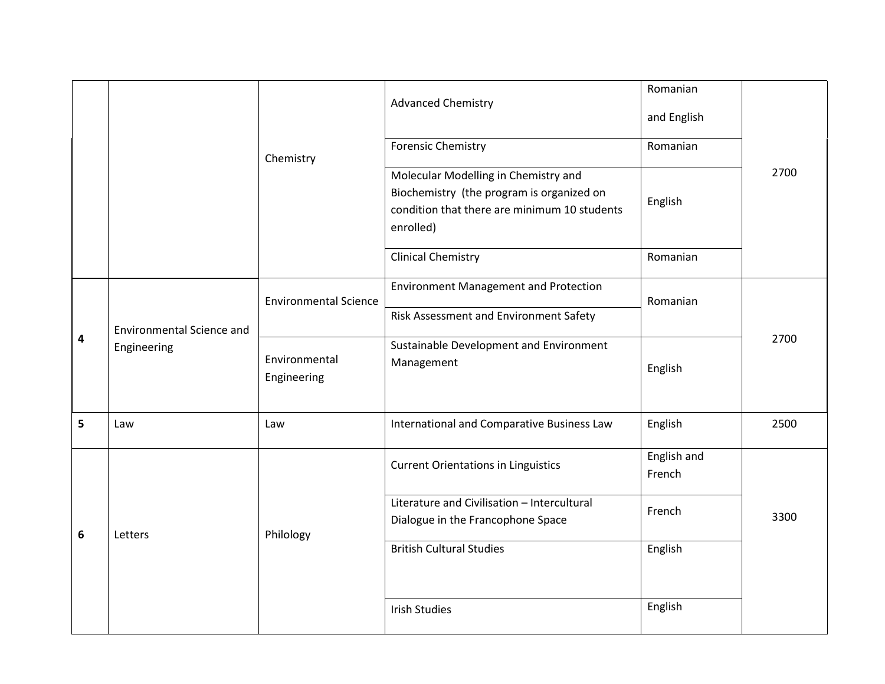|   |                                  |                              | <b>Advanced Chemistry</b>                                                                                                                      | Romanian<br>and English |      |
|---|----------------------------------|------------------------------|------------------------------------------------------------------------------------------------------------------------------------------------|-------------------------|------|
|   |                                  | Chemistry                    | <b>Forensic Chemistry</b>                                                                                                                      | Romanian                |      |
|   |                                  |                              | Molecular Modelling in Chemistry and<br>Biochemistry (the program is organized on<br>condition that there are minimum 10 students<br>enrolled) | English                 | 2700 |
|   |                                  |                              | <b>Clinical Chemistry</b>                                                                                                                      | Romanian                |      |
|   |                                  | <b>Environmental Science</b> | <b>Environment Management and Protection</b>                                                                                                   | Romanian                | 2700 |
|   | <b>Environmental Science and</b> |                              | Risk Assessment and Environment Safety                                                                                                         |                         |      |
| 4 | Engineering                      | Environmental<br>Engineering | Sustainable Development and Environment<br>Management                                                                                          | English                 |      |
| 5 | Law                              | Law                          | International and Comparative Business Law                                                                                                     | English                 | 2500 |
| 6 | Letters                          | Philology                    | <b>Current Orientations in Linguistics</b>                                                                                                     | English and<br>French   | 3300 |
|   |                                  |                              | Literature and Civilisation - Intercultural<br>Dialogue in the Francophone Space                                                               | French                  |      |
|   |                                  |                              | <b>British Cultural Studies</b>                                                                                                                | English                 |      |
|   |                                  |                              | <b>Irish Studies</b>                                                                                                                           | English                 |      |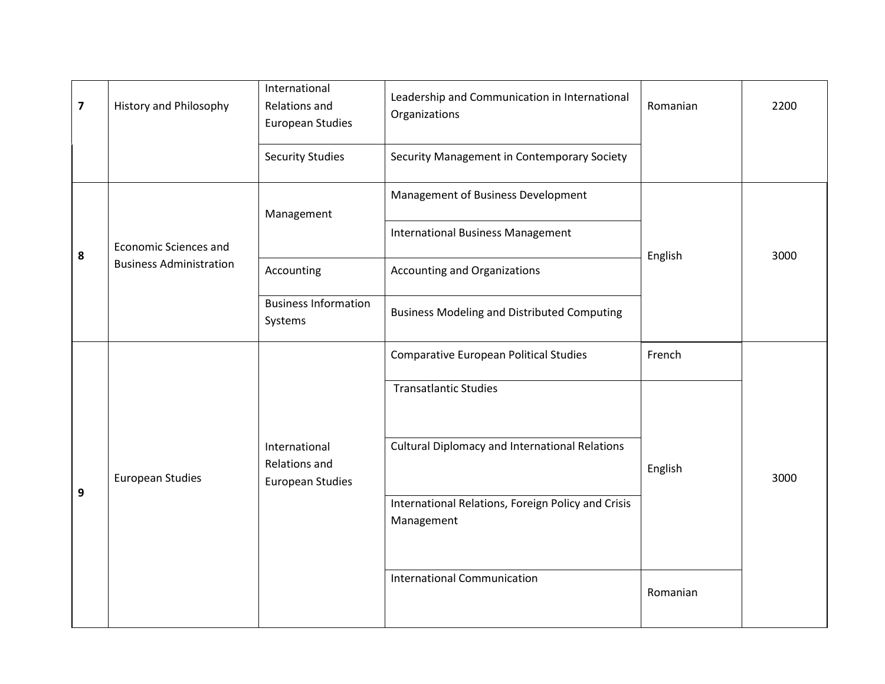| $\overline{\mathbf{z}}$ | <b>History and Philosophy</b>  | International<br>Relations and<br><b>European Studies</b> | Leadership and Communication in International<br>Organizations   | Romanian | 2200 |
|-------------------------|--------------------------------|-----------------------------------------------------------|------------------------------------------------------------------|----------|------|
|                         |                                | <b>Security Studies</b>                                   | Security Management in Contemporary Society                      |          |      |
| 8                       |                                | Management                                                | Management of Business Development                               |          | 3000 |
|                         | <b>Economic Sciences and</b>   |                                                           | <b>International Business Management</b>                         |          |      |
|                         | <b>Business Administration</b> | Accounting                                                | Accounting and Organizations                                     | English  |      |
|                         |                                | <b>Business Information</b><br>Systems                    | <b>Business Modeling and Distributed Computing</b>               |          |      |
| 9                       |                                | International<br>Relations and<br><b>European Studies</b> | <b>Comparative European Political Studies</b>                    | French   |      |
|                         |                                |                                                           | <b>Transatlantic Studies</b>                                     |          |      |
|                         | <b>European Studies</b>        |                                                           | <b>Cultural Diplomacy and International Relations</b>            | English  | 3000 |
|                         |                                |                                                           | International Relations, Foreign Policy and Crisis<br>Management |          |      |
|                         |                                |                                                           | <b>International Communication</b>                               | Romanian |      |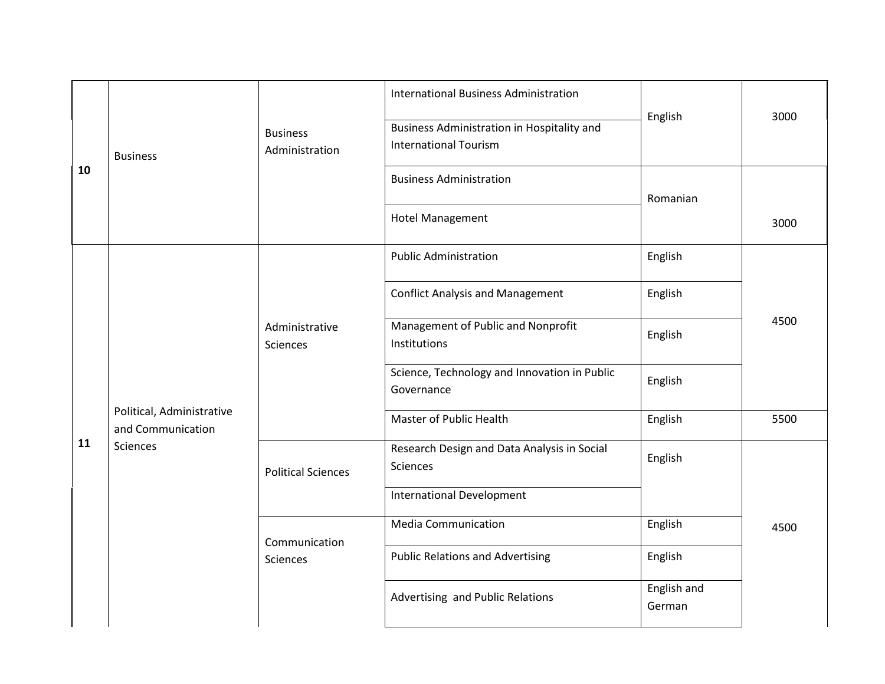| 10 | <b>Business</b>                                                           | <b>Business</b><br>Administration | <b>International Business Administration</b><br>Business Administration in Hospitality and<br><b>International Tourism</b> | English                                                    | 3000    |  |
|----|---------------------------------------------------------------------------|-----------------------------------|----------------------------------------------------------------------------------------------------------------------------|------------------------------------------------------------|---------|--|
|    |                                                                           |                                   | <b>Business Administration</b>                                                                                             | Romanian                                                   |         |  |
|    |                                                                           |                                   | <b>Hotel Management</b>                                                                                                    |                                                            | 3000    |  |
| 11 |                                                                           |                                   | <b>Public Administration</b>                                                                                               | English                                                    | 4500    |  |
|    |                                                                           |                                   | <b>Conflict Analysis and Management</b>                                                                                    | English                                                    |         |  |
|    |                                                                           | Administrative<br><b>Sciences</b> | Management of Public and Nonprofit<br>Institutions                                                                         | English                                                    |         |  |
|    |                                                                           |                                   |                                                                                                                            | Science, Technology and Innovation in Public<br>Governance | English |  |
|    | Political, Administrative<br>and Communication                            |                                   | Master of Public Health                                                                                                    | English                                                    | 5500    |  |
|    | Sciences<br><b>Political Sciences</b><br>Communication<br><b>Sciences</b> |                                   | Research Design and Data Analysis in Social<br><b>Sciences</b>                                                             | English                                                    |         |  |
|    |                                                                           |                                   | <b>International Development</b>                                                                                           |                                                            |         |  |
|    |                                                                           |                                   | <b>Media Communication</b>                                                                                                 | English                                                    | 4500    |  |
|    |                                                                           |                                   | <b>Public Relations and Advertising</b>                                                                                    | English                                                    |         |  |
|    |                                                                           |                                   | Advertising and Public Relations                                                                                           | English and<br>German                                      |         |  |